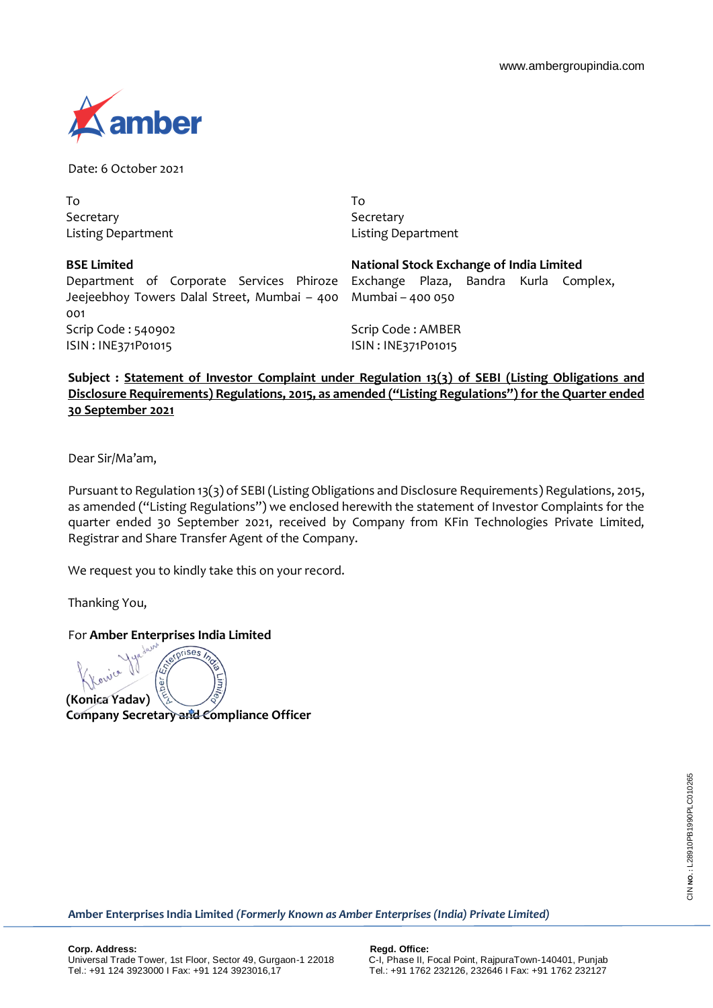

Date: 6 October 2021

To Secretary Listing Department To **Secretary** Listing Department

| <b>BSE Limited</b>                                                             | National Stock Exchange of India Limited |  |  |  |
|--------------------------------------------------------------------------------|------------------------------------------|--|--|--|
| Department of Corporate Services Phiroze Exchange Plaza, Bandra Kurla Complex, |                                          |  |  |  |
| Jeejeebhoy Towers Dalal Street, Mumbai – 400 Mumbai – 400 050                  |                                          |  |  |  |
| 001                                                                            |                                          |  |  |  |
| Scrip Code: 540902                                                             | Scrip Code: AMBER                        |  |  |  |
| ISIN: INE371P01015                                                             | ISIN: INE371P01015                       |  |  |  |

**Subject : Statement of Investor Complaint under Regulation 13(3) of SEBI (Listing Obligations and Disclosure Requirements) Regulations, 2015, as amended ("Listing Regulations") for the Quarter ended 30 September 2021**

Dear Sir/Ma'am,

Pursuant to Regulation 13(3) of SEBI (Listing Obligations and Disclosure Requirements) Regulations, 2015, as amended ("Listing Regulations") we enclosed herewith the statement of Investor Complaints for the quarter ended 30 September 2021, received by Company from KFin Technologies Private Limited, Registrar and Share Transfer Agent of the Company.

We request you to kindly take this on your record.

Thanking You,

For **Amber Enterprises India Limited**

**riSA (Konica Yadav)**

**Company Secretary and Compliance Officer** 

**Amber Enterprises India Limited** *(Formerly Known as Amber Enterprises (India) Private Limited)*